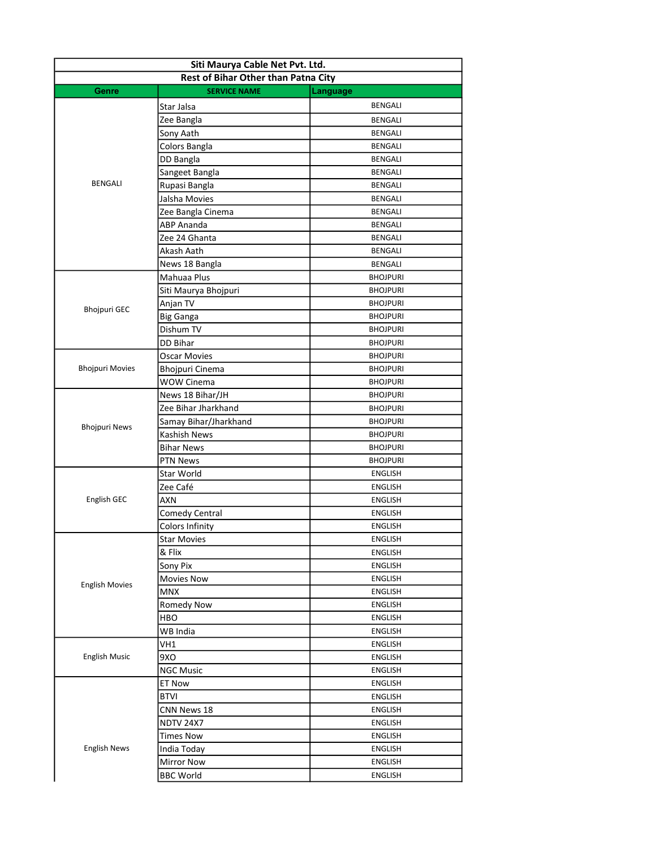| Siti Maurya Cable Net Pvt. Ltd.     |                        |                 |  |  |
|-------------------------------------|------------------------|-----------------|--|--|
| Rest of Bihar Other than Patna City |                        |                 |  |  |
| Genre                               | <b>SERVICE NAME</b>    | Language        |  |  |
|                                     | Star Jalsa             | <b>BENGALI</b>  |  |  |
|                                     | Zee Bangla             | BENGALI         |  |  |
|                                     | Sony Aath              | <b>BENGALI</b>  |  |  |
|                                     | Colors Bangla          | <b>BENGALI</b>  |  |  |
|                                     | DD Bangla              | <b>BENGALI</b>  |  |  |
|                                     | Sangeet Bangla         | <b>BENGALI</b>  |  |  |
| <b>BENGALI</b>                      | Rupasi Bangla          | BENGALI         |  |  |
|                                     | Jalsha Movies          | BENGALI         |  |  |
|                                     | Zee Bangla Cinema      | BENGALI         |  |  |
|                                     | <b>ABP Ananda</b>      | BENGALI         |  |  |
|                                     | Zee 24 Ghanta          | BENGALI         |  |  |
|                                     | Akash Aath             | BENGALI         |  |  |
|                                     | News 18 Bangla         | BENGALI         |  |  |
|                                     | Mahuaa Plus            | <b>BHOJPURI</b> |  |  |
|                                     | Siti Maurya Bhojpuri   | <b>BHOJPURI</b> |  |  |
|                                     | Anjan TV               | <b>BHOJPURI</b> |  |  |
| <b>Bhojpuri GEC</b>                 | <b>Big Ganga</b>       | <b>BHOJPURI</b> |  |  |
|                                     | Dishum TV              | <b>BHOJPURI</b> |  |  |
|                                     | <b>DD Bihar</b>        | <b>BHOJPURI</b> |  |  |
|                                     | <b>Oscar Movies</b>    | <b>BHOJPURI</b> |  |  |
| <b>Bhojpuri Movies</b>              | Bhojpuri Cinema        | <b>BHOJPURI</b> |  |  |
|                                     | <b>WOW Cinema</b>      | <b>BHOJPURI</b> |  |  |
|                                     | News 18 Bihar/JH       | <b>BHOJPURI</b> |  |  |
|                                     | Zee Bihar Jharkhand    | <b>BHOJPURI</b> |  |  |
|                                     | Samay Bihar/Jharkhand  | <b>BHOJPURI</b> |  |  |
| <b>Bhojpuri News</b>                | Kashish News           | <b>BHOJPURI</b> |  |  |
|                                     | <b>Bihar News</b>      | <b>BHOJPURI</b> |  |  |
|                                     | <b>PTN News</b>        | <b>BHOJPURI</b> |  |  |
|                                     | Star World             | <b>ENGLISH</b>  |  |  |
|                                     | Zee Café               | <b>ENGLISH</b>  |  |  |
| English GEC                         | AXN                    | <b>ENGLISH</b>  |  |  |
|                                     | Comedy Central         | ENGLISH         |  |  |
|                                     | <b>Colors Infinity</b> | ENGLISH         |  |  |
|                                     |                        | ENGLISH         |  |  |
|                                     | Star Movies<br>& Flix  | ENGLISH         |  |  |
|                                     | Sony Pix               | ENGLISH         |  |  |
|                                     | <b>Movies Now</b>      | ENGLISH         |  |  |
| <b>English Movies</b>               | <b>MNX</b>             | ENGLISH         |  |  |
|                                     |                        | <b>ENGLISH</b>  |  |  |
|                                     | Romedy Now             |                 |  |  |
|                                     | HBO                    | <b>ENGLISH</b>  |  |  |
|                                     | WB India               | ENGLISH         |  |  |
|                                     | VH1                    | <b>ENGLISH</b>  |  |  |
| <b>English Music</b>                | 9XO                    | <b>ENGLISH</b>  |  |  |
|                                     | <b>NGC Music</b>       | <b>ENGLISH</b>  |  |  |
|                                     | ET Now                 | ENGLISH         |  |  |
|                                     | <b>BTVI</b>            | ENGLISH         |  |  |
|                                     | CNN News 18            | ENGLISH         |  |  |
|                                     | <b>NDTV 24X7</b>       | ENGLISH         |  |  |
|                                     | <b>Times Now</b>       | ENGLISH         |  |  |
| <b>English News</b>                 | India Today            | ENGLISH         |  |  |
|                                     | <b>Mirror Now</b>      | ENGLISH         |  |  |
|                                     | <b>BBC World</b>       | ENGLISH         |  |  |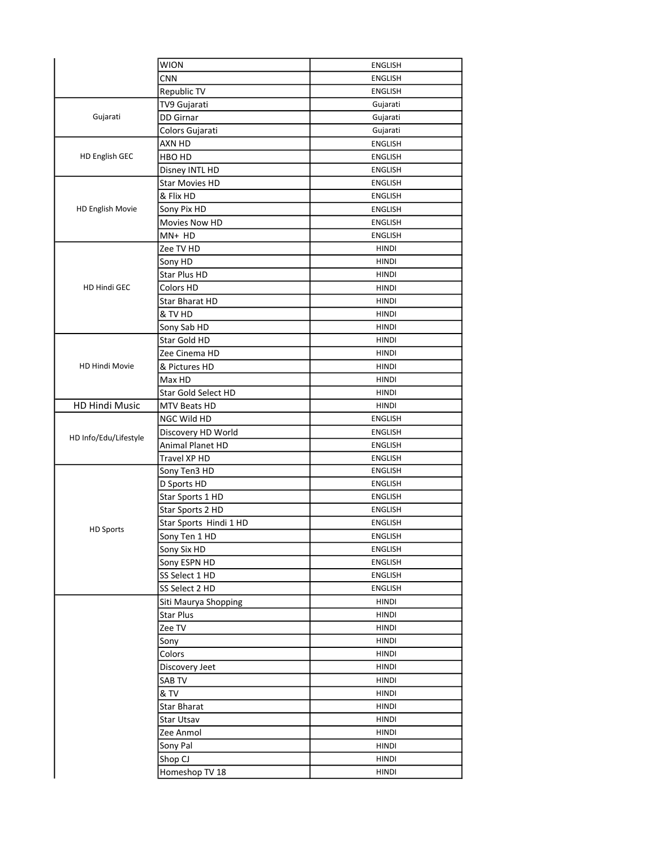|                       | <b>WION</b>            | <b>ENGLISH</b> |
|-----------------------|------------------------|----------------|
|                       | <b>CNN</b>             | <b>ENGLISH</b> |
|                       | Republic TV            | <b>ENGLISH</b> |
|                       | TV9 Gujarati           | Gujarati       |
| Gujarati              | <b>DD</b> Girnar       | Gujarati       |
|                       | Colors Gujarati        | Gujarati       |
|                       | AXN HD                 | <b>ENGLISH</b> |
| <b>HD English GEC</b> | HBO HD                 | <b>ENGLISH</b> |
|                       | Disney INTL HD         | <b>ENGLISH</b> |
|                       | <b>Star Movies HD</b>  | <b>ENGLISH</b> |
|                       | & Flix HD              | <b>ENGLISH</b> |
| HD English Movie      | Sony Pix HD            | <b>ENGLISH</b> |
|                       | Movies Now HD          | <b>ENGLISH</b> |
|                       | MN+ HD                 | <b>ENGLISH</b> |
|                       |                        | <b>HINDI</b>   |
|                       | Zee TV HD              |                |
|                       | Sony HD                | <b>HINDI</b>   |
|                       | Star Plus HD           | <b>HINDI</b>   |
| HD Hindi GEC          | Colors HD              | <b>HINDI</b>   |
|                       | <b>Star Bharat HD</b>  | <b>HINDI</b>   |
|                       | & TV HD                | <b>HINDI</b>   |
|                       | Sony Sab HD            | <b>HINDI</b>   |
|                       | Star Gold HD           | <b>HINDI</b>   |
|                       | Zee Cinema HD          | <b>HINDI</b>   |
| <b>HD Hindi Movie</b> | & Pictures HD          | <b>HINDI</b>   |
|                       | Max HD                 | <b>HINDI</b>   |
|                       | Star Gold Select HD    | <b>HINDI</b>   |
| HD Hindi Music        | MTV Beats HD           | <b>HINDI</b>   |
|                       | NGC Wild HD            | <b>ENGLISH</b> |
| HD Info/Edu/Lifestyle | Discovery HD World     | <b>ENGLISH</b> |
|                       | Animal Planet HD       | <b>ENGLISH</b> |
|                       | Travel XP HD           | <b>ENGLISH</b> |
|                       | Sony Ten3 HD           | <b>ENGLISH</b> |
|                       | D Sports HD            | <b>ENGLISH</b> |
|                       | Star Sports 1 HD       | <b>ENGLISH</b> |
|                       | Star Sports 2 HD       | <b>ENGLISH</b> |
| <b>HD Sports</b>      | Star Sports Hindi 1 HD | <b>ENGLISH</b> |
|                       | Sony Ten 1 HD          | <b>ENGLISH</b> |
|                       | Sony Six HD            | <b>ENGLISH</b> |
|                       | Sony ESPN HD           | <b>ENGLISH</b> |
|                       | SS Select 1 HD         | <b>ENGLISH</b> |
|                       | SS Select 2 HD         | <b>ENGLISH</b> |
|                       | Siti Maurya Shopping   | <b>HINDI</b>   |
|                       | <b>Star Plus</b>       | <b>HINDI</b>   |
|                       | Zee TV                 | <b>HINDI</b>   |
|                       | Sony                   | <b>HINDI</b>   |
|                       | Colors                 | HINDI          |
|                       | Discovery Jeet         | <b>HINDI</b>   |
|                       | SAB TV                 | HINDI          |
|                       | & TV                   | <b>HINDI</b>   |
|                       | <b>Star Bharat</b>     | HINDI          |
|                       | Star Utsav             | <b>HINDI</b>   |
|                       | Zee Anmol              | <b>HINDI</b>   |
|                       |                        | <b>HINDI</b>   |
|                       | Sony Pal               |                |
|                       | Shop CJ                | <b>HINDI</b>   |
|                       | Homeshop TV 18         | <b>HINDI</b>   |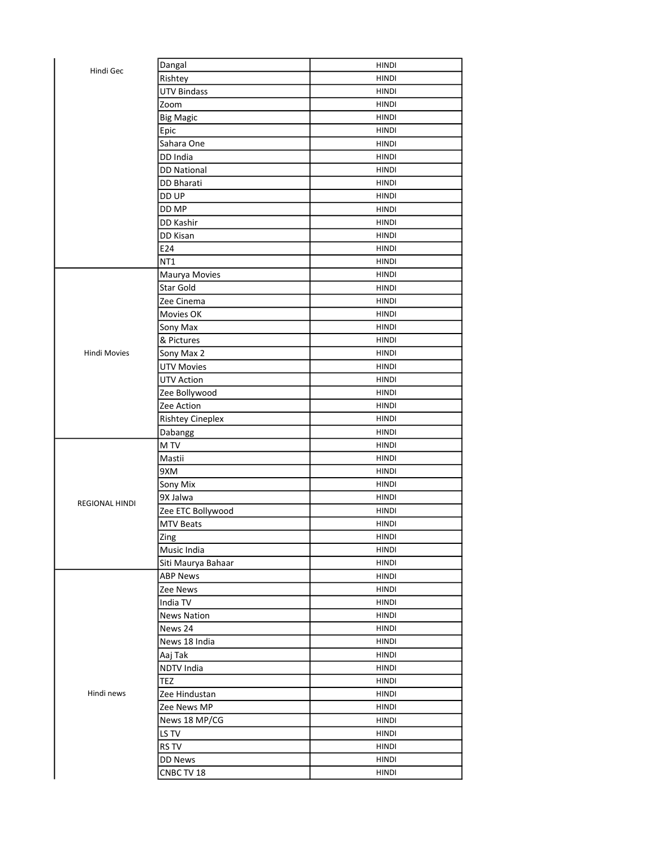| Hindi Gec             | Dangal                  | HINDI        |
|-----------------------|-------------------------|--------------|
|                       | Rishtey                 | HINDI        |
|                       | <b>UTV Bindass</b>      | HINDI        |
|                       | Zoom                    | HINDI        |
|                       | <b>Big Magic</b>        | <b>HINDI</b> |
|                       | Epic                    | <b>HINDI</b> |
|                       | Sahara One              | HINDI        |
|                       | DD India                | <b>HINDI</b> |
|                       | <b>DD National</b>      | HINDI        |
|                       | <b>DD Bharati</b>       | <b>HINDI</b> |
|                       | DD UP                   | <b>HINDI</b> |
|                       | DD MP                   | <b>HINDI</b> |
|                       | DD Kashir               | <b>HINDI</b> |
|                       | DD Kisan                | <b>HINDI</b> |
|                       | E24                     | <b>HINDI</b> |
|                       | NT1                     | <b>HINDI</b> |
|                       | Maurya Movies           | HINDI        |
|                       | Star Gold               | <b>HINDI</b> |
|                       | Zee Cinema              | <b>HINDI</b> |
|                       | Movies OK               | <b>HINDI</b> |
|                       | Sony Max                | <b>HINDI</b> |
|                       | & Pictures              | HINDI        |
| <b>Hindi Movies</b>   | Sony Max 2              | <b>HINDI</b> |
|                       | <b>UTV Movies</b>       | <b>HINDI</b> |
|                       | <b>UTV Action</b>       | <b>HINDI</b> |
|                       | Zee Bollywood           | HINDI        |
|                       | Zee Action              | HINDI        |
|                       | <b>Rishtey Cineplex</b> | HINDI        |
|                       | Dabangg                 | HINDI        |
|                       | M TV                    | HINDI        |
|                       | Mastii                  | HINDI        |
|                       | 9XM                     | <b>HINDI</b> |
|                       | Sony Mix                | <b>HINDI</b> |
|                       | 9X Jalwa                | <b>HINDI</b> |
| <b>REGIONAL HINDI</b> | Zee ETC Bollywood       | <b>HINDI</b> |
|                       | <b>MTV Beats</b>        | <b>HINDI</b> |
|                       | Zing                    | HINDI        |
|                       | Music India             | HINDI        |
|                       | Siti Maurya Bahaar      | <b>HINDI</b> |
|                       | <b>ABP News</b>         | HINDI        |
|                       | Zee News                | HINDI        |
|                       | India TV                | HINDI        |
|                       | <b>News Nation</b>      | HINDI        |
|                       | News 24                 | HINDI        |
|                       | News 18 India           | HINDI        |
|                       | Aaj Tak                 | HINDI        |
|                       | NDTV India              | HINDI        |
|                       | TEZ                     | HINDI        |
| Hindi news            | Zee Hindustan           | HINDI        |
|                       |                         |              |
|                       | Zee News MP             | HINDI        |
|                       | News 18 MP/CG           | HINDI        |
|                       | LS TV                   | HINDI        |
|                       | RS TV                   | HINDI        |
|                       | DD News                 | HINDI        |
|                       | CNBC TV 18              | HINDI        |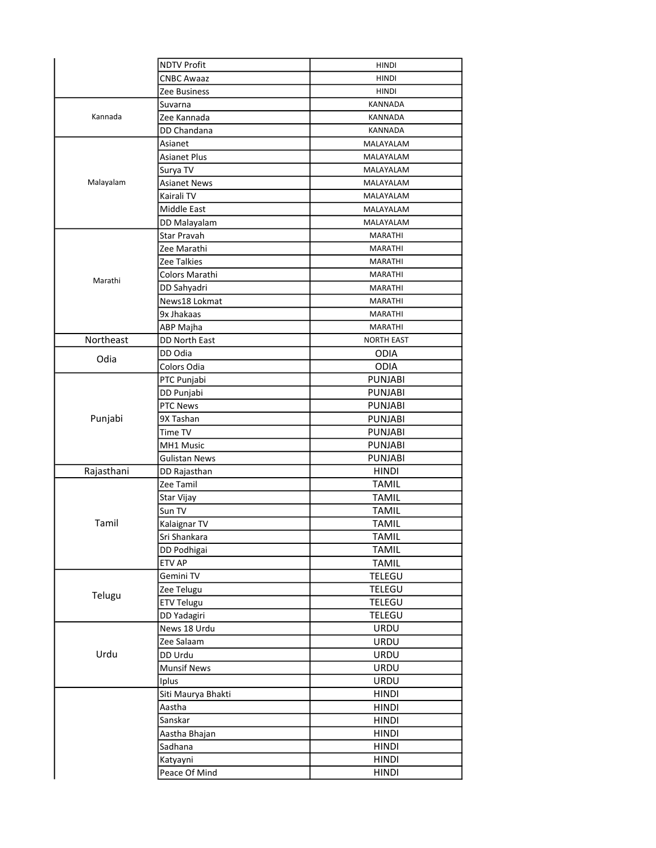|            | <b>NDTV Profit</b>   | <b>HINDI</b>      |
|------------|----------------------|-------------------|
|            | <b>CNBC Awaaz</b>    | <b>HINDI</b>      |
|            | Zee Business         | <b>HINDI</b>      |
|            | Suvarna              | KANNADA           |
| Kannada    | Zee Kannada          | <b>KANNADA</b>    |
|            | DD Chandana          | KANNADA           |
|            | Asianet              | MALAYALAM         |
|            | Asianet Plus         | MALAYALAM         |
|            | Surya TV             | MALAYALAM         |
| Malayalam  | <b>Asianet News</b>  | MALAYALAM         |
|            | Kairali TV           | MALAYALAM         |
|            | Middle East          | MALAYALAM         |
|            | DD Malayalam         | MALAYALAM         |
|            | Star Pravah          | <b>MARATHI</b>    |
|            | Zee Marathi          | MARATHI           |
|            | Zee Talkies          | MARATHI           |
|            | Colors Marathi       | <b>MARATHI</b>    |
| Marathi    |                      |                   |
|            | DD Sahyadri          | MARATHI           |
|            | News18 Lokmat        | MARATHI           |
|            | 9x Jhakaas           | MARATHI           |
|            | ABP Majha            | <b>MARATHI</b>    |
| Northeast  | DD North East        | <b>NORTH EAST</b> |
| Odia       | DD Odia              | <b>ODIA</b>       |
|            | Colors Odia          | <b>ODIA</b>       |
|            | PTC Punjabi          | <b>PUNJABI</b>    |
|            | DD Punjabi           | <b>PUNJABI</b>    |
|            | <b>PTC News</b>      | <b>PUNJABI</b>    |
| Punjabi    | 9X Tashan            | <b>PUNJABI</b>    |
|            | Time TV              | <b>PUNJABI</b>    |
|            | MH1 Music            | <b>PUNJABI</b>    |
|            | <b>Gulistan News</b> | <b>PUNJABI</b>    |
| Rajasthani | DD Rajasthan         | <b>HINDI</b>      |
|            | Zee Tamil            | <b>TAMIL</b>      |
|            | Star Vijay           | <b>TAMIL</b>      |
|            | Sun TV               | <b>TAMIL</b>      |
| Tamil      | Kalaignar TV         | TAMIL             |
|            | Sri Shankara         | <b>TAMIL</b>      |
|            | DD Podhigai          | <b>TAMIL</b>      |
|            | ETV AP               | <b>TAMIL</b>      |
|            | Gemini TV            | TELEGU            |
| Telugu     | Zee Telugu           | TELEGU            |
|            | <b>ETV Telugu</b>    | TELEGU            |
|            | DD Yadagiri          | TELEGU            |
|            | News 18 Urdu         | URDU              |
|            | Zee Salaam           | URDU              |
| Urdu       | DD Urdu              | URDU              |
|            | <b>Munsif News</b>   | URDU              |
|            | Iplus                | URDU              |
|            | Siti Maurya Bhakti   | <b>HINDI</b>      |
|            | Aastha               | <b>HINDI</b>      |
|            | Sanskar              | <b>HINDI</b>      |
|            | Aastha Bhajan        | <b>HINDI</b>      |
|            | Sadhana              | <b>HINDI</b>      |
|            | Katyayni             | <b>HINDI</b>      |
|            | Peace Of Mind        | <b>HINDI</b>      |
|            |                      |                   |